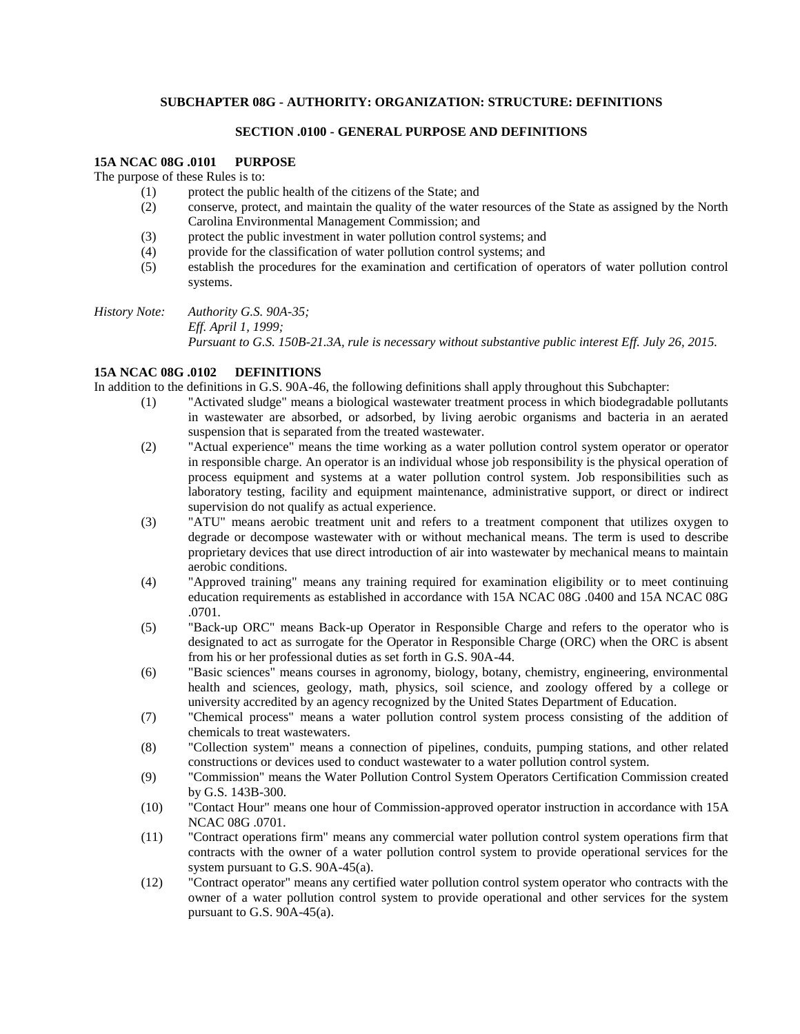## **SUBCHAPTER 08G - AUTHORITY: ORGANIZATION: STRUCTURE: DEFINITIONS**

# **SECTION .0100 - GENERAL PURPOSE AND DEFINITIONS**

### **15A NCAC 08G .0101 PURPOSE**

The purpose of these Rules is to:

- (1) protect the public health of the citizens of the State; and
- (2) conserve, protect, and maintain the quality of the water resources of the State as assigned by the North Carolina Environmental Management Commission; and
- (3) protect the public investment in water pollution control systems; and
- (4) provide for the classification of water pollution control systems; and
- (5) establish the procedures for the examination and certification of operators of water pollution control systems.

*History Note: Authority G.S. 90A-35; Eff. April 1, 1999;*

*Pursuant to G.S. 150B-21.3A, rule is necessary without substantive public interest Eff. July 26, 2015.*

# **15A NCAC 08G .0102 DEFINITIONS**

In addition to the definitions in G.S. 90A-46, the following definitions shall apply throughout this Subchapter:

- (1) "Activated sludge" means a biological wastewater treatment process in which biodegradable pollutants in wastewater are absorbed, or adsorbed, by living aerobic organisms and bacteria in an aerated suspension that is separated from the treated wastewater.
- (2) "Actual experience" means the time working as a water pollution control system operator or operator in responsible charge. An operator is an individual whose job responsibility is the physical operation of process equipment and systems at a water pollution control system. Job responsibilities such as laboratory testing, facility and equipment maintenance, administrative support, or direct or indirect supervision do not qualify as actual experience.
- (3) "ATU" means aerobic treatment unit and refers to a treatment component that utilizes oxygen to degrade or decompose wastewater with or without mechanical means. The term is used to describe proprietary devices that use direct introduction of air into wastewater by mechanical means to maintain aerobic conditions.
- (4) "Approved training" means any training required for examination eligibility or to meet continuing education requirements as established in accordance with 15A NCAC 08G .0400 and 15A NCAC 08G .0701.
- (5) "Back-up ORC" means Back-up Operator in Responsible Charge and refers to the operator who is designated to act as surrogate for the Operator in Responsible Charge (ORC) when the ORC is absent from his or her professional duties as set forth in G.S. 90A-44.
- (6) "Basic sciences" means courses in agronomy, biology, botany, chemistry, engineering, environmental health and sciences, geology, math, physics, soil science, and zoology offered by a college or university accredited by an agency recognized by the United States Department of Education.
- (7) "Chemical process" means a water pollution control system process consisting of the addition of chemicals to treat wastewaters.
- (8) "Collection system" means a connection of pipelines, conduits, pumping stations, and other related constructions or devices used to conduct wastewater to a water pollution control system.
- (9) "Commission" means the Water Pollution Control System Operators Certification Commission created by G.S. 143B-300.
- (10) "Contact Hour" means one hour of Commission-approved operator instruction in accordance with 15A NCAC 08G .0701.
- (11) "Contract operations firm" means any commercial water pollution control system operations firm that contracts with the owner of a water pollution control system to provide operational services for the system pursuant to G.S. 90A-45(a).
- (12) "Contract operator" means any certified water pollution control system operator who contracts with the owner of a water pollution control system to provide operational and other services for the system pursuant to G.S. 90A-45(a).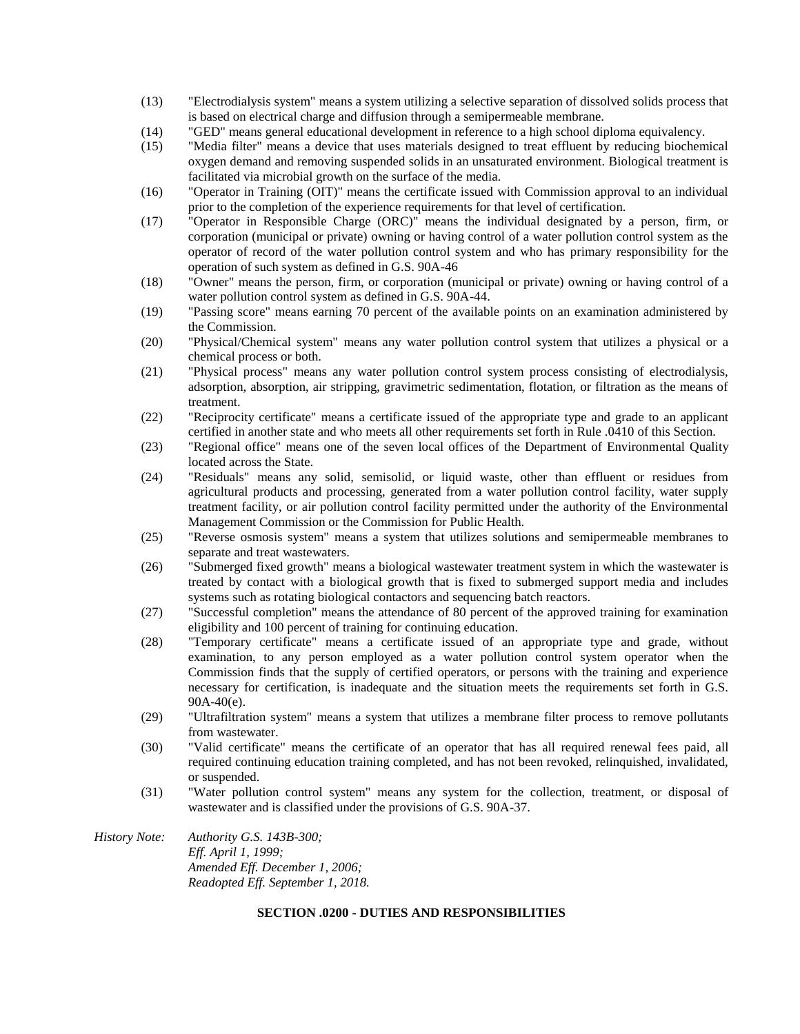- (13) "Electrodialysis system" means a system utilizing a selective separation of dissolved solids process that is based on electrical charge and diffusion through a semipermeable membrane.
- (14) "GED" means general educational development in reference to a high school diploma equivalency.
- (15) "Media filter" means a device that uses materials designed to treat effluent by reducing biochemical oxygen demand and removing suspended solids in an unsaturated environment. Biological treatment is facilitated via microbial growth on the surface of the media.
- (16) "Operator in Training (OIT)" means the certificate issued with Commission approval to an individual prior to the completion of the experience requirements for that level of certification.
- (17) "Operator in Responsible Charge (ORC)" means the individual designated by a person, firm, or corporation (municipal or private) owning or having control of a water pollution control system as the operator of record of the water pollution control system and who has primary responsibility for the operation of such system as defined in G.S. 90A-46
- (18) "Owner" means the person, firm, or corporation (municipal or private) owning or having control of a water pollution control system as defined in G.S. 90A-44.
- (19) "Passing score" means earning 70 percent of the available points on an examination administered by the Commission.
- (20) "Physical/Chemical system" means any water pollution control system that utilizes a physical or a chemical process or both.
- (21) "Physical process" means any water pollution control system process consisting of electrodialysis, adsorption, absorption, air stripping, gravimetric sedimentation, flotation, or filtration as the means of treatment.
- (22) "Reciprocity certificate" means a certificate issued of the appropriate type and grade to an applicant certified in another state and who meets all other requirements set forth in Rule .0410 of this Section.
- (23) "Regional office" means one of the seven local offices of the Department of Environmental Quality located across the State.
- (24) "Residuals" means any solid, semisolid, or liquid waste, other than effluent or residues from agricultural products and processing, generated from a water pollution control facility, water supply treatment facility, or air pollution control facility permitted under the authority of the Environmental Management Commission or the Commission for Public Health.
- (25) "Reverse osmosis system" means a system that utilizes solutions and semipermeable membranes to separate and treat wastewaters.
- (26) "Submerged fixed growth" means a biological wastewater treatment system in which the wastewater is treated by contact with a biological growth that is fixed to submerged support media and includes systems such as rotating biological contactors and sequencing batch reactors.
- (27) "Successful completion" means the attendance of 80 percent of the approved training for examination eligibility and 100 percent of training for continuing education.
- (28) "Temporary certificate" means a certificate issued of an appropriate type and grade, without examination, to any person employed as a water pollution control system operator when the Commission finds that the supply of certified operators, or persons with the training and experience necessary for certification, is inadequate and the situation meets the requirements set forth in G.S. 90A-40(e).
- (29) "Ultrafiltration system" means a system that utilizes a membrane filter process to remove pollutants from wastewater.
- (30) "Valid certificate" means the certificate of an operator that has all required renewal fees paid, all required continuing education training completed, and has not been revoked, relinquished, invalidated, or suspended.
- (31) "Water pollution control system" means any system for the collection, treatment, or disposal of wastewater and is classified under the provisions of G.S. 90A-37.
- *History Note: Authority G.S. 143B-300; Eff. April 1, 1999; Amended Eff. December 1, 2006; Readopted Eff. September 1, 2018.*

### **SECTION .0200 - DUTIES AND RESPONSIBILITIES**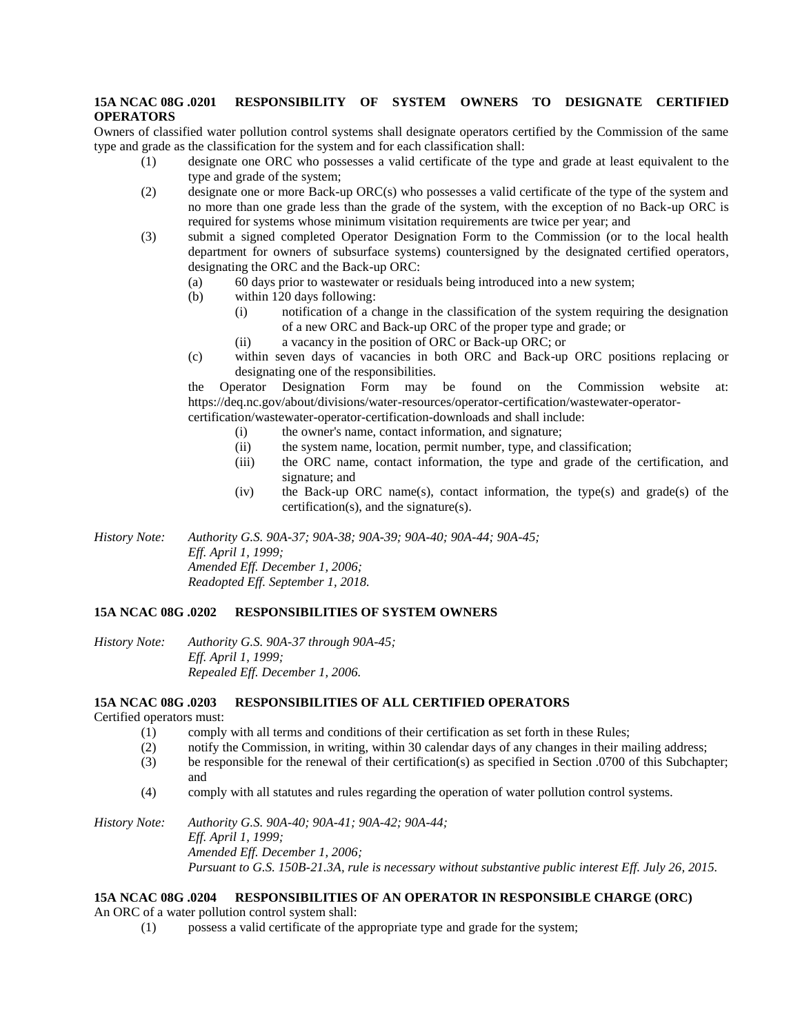# **15A NCAC 08G .0201 RESPONSIBILITY OF SYSTEM OWNERS TO DESIGNATE CERTIFIED OPERATORS**

Owners of classified water pollution control systems shall designate operators certified by the Commission of the same type and grade as the classification for the system and for each classification shall:

- (1) designate one ORC who possesses a valid certificate of the type and grade at least equivalent to the type and grade of the system;
- (2) designate one or more Back-up ORC(s) who possesses a valid certificate of the type of the system and no more than one grade less than the grade of the system, with the exception of no Back-up ORC is required for systems whose minimum visitation requirements are twice per year; and
- (3) submit a signed completed Operator Designation Form to the Commission (or to the local health department for owners of subsurface systems) countersigned by the designated certified operators, designating the ORC and the Back-up ORC:
	- (a) 60 days prior to wastewater or residuals being introduced into a new system;
	- (b) within 120 days following:
		- (i) notification of a change in the classification of the system requiring the designation of a new ORC and Back-up ORC of the proper type and grade; or
			- (ii) a vacancy in the position of ORC or Back-up ORC; or
	- (c) within seven days of vacancies in both ORC and Back-up ORC positions replacing or designating one of the responsibilities.

the Operator Designation Form may be found on the Commission website at: https://deq.nc.gov/about/divisions/water-resources/operator-certification/wastewater-operatorcertification/wastewater-operator-certification-downloads and shall include:

- (i) the owner's name, contact information, and signature;
	- (ii) the system name, location, permit number, type, and classification;
- (iii) the ORC name, contact information, the type and grade of the certification, and signature; and
- (iv) the Back-up ORC name(s), contact information, the type(s) and grade(s) of the certification(s), and the signature(s).

*History Note: Authority G.S. 90A-37; 90A-38; 90A-39; 90A-40; 90A-44; 90A-45; Eff. April 1, 1999; Amended Eff. December 1, 2006; Readopted Eff. September 1, 2018.*

# **15A NCAC 08G .0202 RESPONSIBILITIES OF SYSTEM OWNERS**

*History Note: Authority G.S. 90A-37 through 90A-45; Eff. April 1, 1999; Repealed Eff. December 1, 2006.*

#### **15A NCAC 08G .0203 RESPONSIBILITIES OF ALL CERTIFIED OPERATORS**

Certified operators must:

- (1) comply with all terms and conditions of their certification as set forth in these Rules;
- (2) notify the Commission, in writing, within 30 calendar days of any changes in their mailing address;
- (3) be responsible for the renewal of their certification(s) as specified in Section .0700 of this Subchapter; and
- (4) comply with all statutes and rules regarding the operation of water pollution control systems.

*History Note: Authority G.S. 90A-40; 90A-41; 90A-42; 90A-44; Eff. April 1, 1999; Amended Eff. December 1, 2006; Pursuant to G.S. 150B-21.3A, rule is necessary without substantive public interest Eff. July 26, 2015.*

# **15A NCAC 08G .0204 RESPONSIBILITIES OF AN OPERATOR IN RESPONSIBLE CHARGE (ORC)**

An ORC of a water pollution control system shall:

(1) possess a valid certificate of the appropriate type and grade for the system;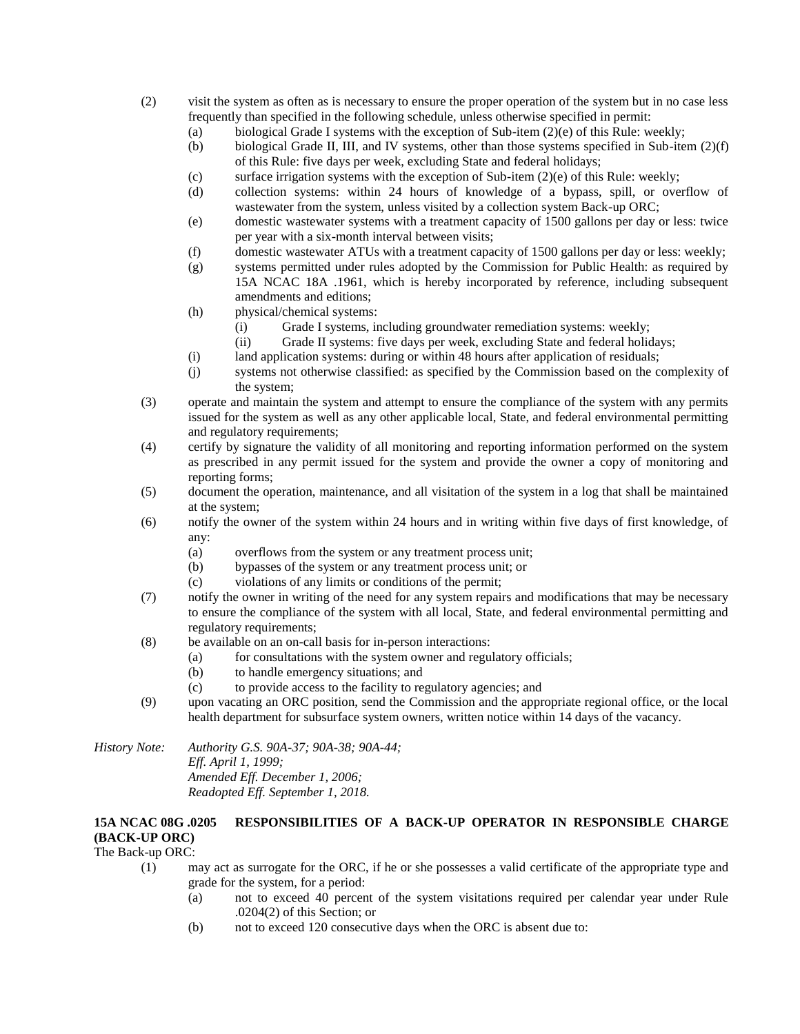- (2) visit the system as often as is necessary to ensure the proper operation of the system but in no case less frequently than specified in the following schedule, unless otherwise specified in permit:
	- (a) biological Grade I systems with the exception of Sub-item  $(2)(e)$  of this Rule: weekly;
	- (b) biological Grade II, III, and IV systems, other than those systems specified in Sub-item (2)(f) of this Rule: five days per week, excluding State and federal holidays;
	- (c) surface irrigation systems with the exception of Sub-item  $(2)(e)$  of this Rule: weekly;
	- (d) collection systems: within 24 hours of knowledge of a bypass, spill, or overflow of wastewater from the system, unless visited by a collection system Back-up ORC;
	- (e) domestic wastewater systems with a treatment capacity of 1500 gallons per day or less: twice per year with a six-month interval between visits;
	- (f) domestic wastewater ATUs with a treatment capacity of 1500 gallons per day or less: weekly;
	- (g) systems permitted under rules adopted by the Commission for Public Health: as required by 15A NCAC 18A .1961, which is hereby incorporated by reference, including subsequent amendments and editions;
	- (h) physical/chemical systems:
		- (i) Grade I systems, including groundwater remediation systems: weekly;
		- (ii) Grade II systems: five days per week, excluding State and federal holidays;
	- (i) land application systems: during or within 48 hours after application of residuals;
	- (j) systems not otherwise classified: as specified by the Commission based on the complexity of the system;
- (3) operate and maintain the system and attempt to ensure the compliance of the system with any permits issued for the system as well as any other applicable local, State, and federal environmental permitting and regulatory requirements;
- (4) certify by signature the validity of all monitoring and reporting information performed on the system as prescribed in any permit issued for the system and provide the owner a copy of monitoring and reporting forms;
- (5) document the operation, maintenance, and all visitation of the system in a log that shall be maintained at the system;
- (6) notify the owner of the system within 24 hours and in writing within five days of first knowledge, of any:
	- (a) overflows from the system or any treatment process unit;
	- (b) bypasses of the system or any treatment process unit; or
	- (c) violations of any limits or conditions of the permit;
- (7) notify the owner in writing of the need for any system repairs and modifications that may be necessary to ensure the compliance of the system with all local, State, and federal environmental permitting and regulatory requirements:
- (8) be available on an on-call basis for in-person interactions:
	- (a) for consultations with the system owner and regulatory officials;
		- (b) to handle emergency situations; and
		- (c) to provide access to the facility to regulatory agencies; and
- (9) upon vacating an ORC position, send the Commission and the appropriate regional office, or the local health department for subsurface system owners, written notice within 14 days of the vacancy.

*History Note: Authority G.S. 90A-37; 90A-38; 90A-44; Eff. April 1, 1999; Amended Eff. December 1, 2006; Readopted Eff. September 1, 2018.*

# **15A NCAC 08G .0205 RESPONSIBILITIES OF A BACK-UP OPERATOR IN RESPONSIBLE CHARGE (BACK-UP ORC)**

### The Back-up ORC:

- (1) may act as surrogate for the ORC, if he or she possesses a valid certificate of the appropriate type and grade for the system, for a period:
	- (a) not to exceed 40 percent of the system visitations required per calendar year under Rule .0204(2) of this Section; or
	- (b) not to exceed 120 consecutive days when the ORC is absent due to: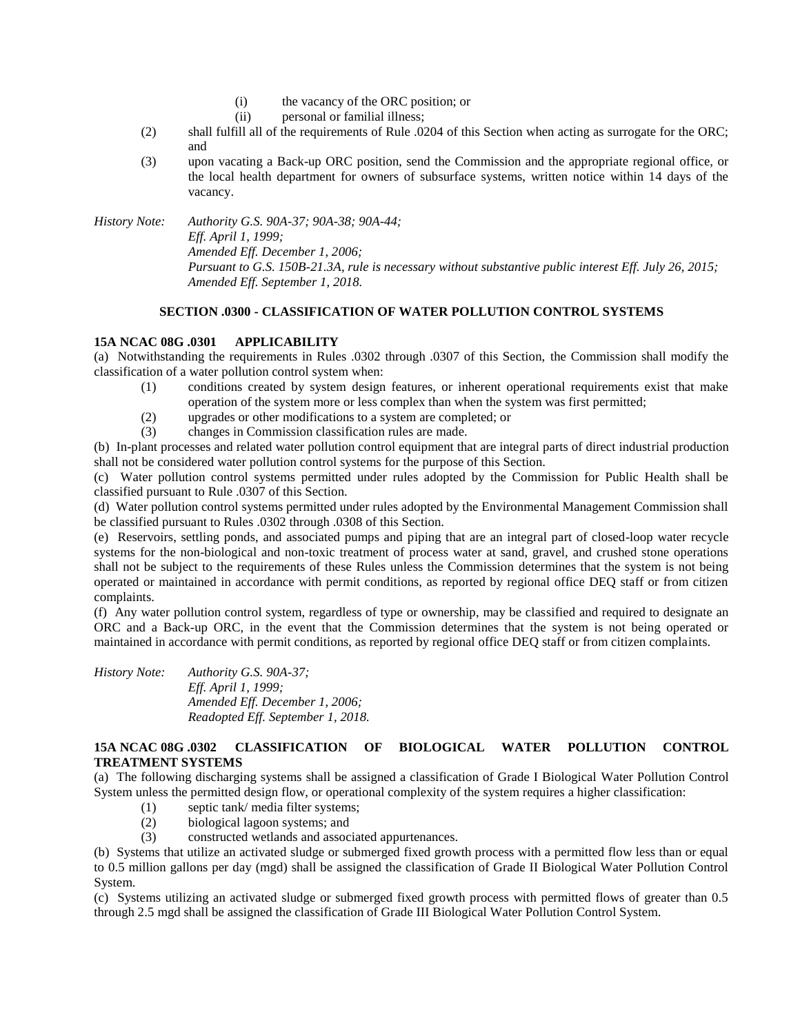- (i) the vacancy of the ORC position; or
- (ii) personal or familial illness;
- (2) shall fulfill all of the requirements of Rule .0204 of this Section when acting as surrogate for the ORC; and
- (3) upon vacating a Back-up ORC position, send the Commission and the appropriate regional office, or the local health department for owners of subsurface systems, written notice within 14 days of the vacancy.

*History Note: Authority G.S. 90A-37; 90A-38; 90A-44; Eff. April 1, 1999; Amended Eff. December 1, 2006; Pursuant to G.S. 150B-21.3A, rule is necessary without substantive public interest Eff. July 26, 2015; Amended Eff. September 1, 2018.*

# **SECTION .0300 - CLASSIFICATION OF WATER POLLUTION CONTROL SYSTEMS**

# **15A NCAC 08G .0301 APPLICABILITY**

(a) Notwithstanding the requirements in Rules .0302 through .0307 of this Section, the Commission shall modify the classification of a water pollution control system when:

- (1) conditions created by system design features, or inherent operational requirements exist that make operation of the system more or less complex than when the system was first permitted;
- (2) upgrades or other modifications to a system are completed; or
- (3) changes in Commission classification rules are made.

(b) In-plant processes and related water pollution control equipment that are integral parts of direct industrial production shall not be considered water pollution control systems for the purpose of this Section.

(c) Water pollution control systems permitted under rules adopted by the Commission for Public Health shall be classified pursuant to Rule .0307 of this Section.

(d) Water pollution control systems permitted under rules adopted by the Environmental Management Commission shall be classified pursuant to Rules .0302 through .0308 of this Section.

(e) Reservoirs, settling ponds, and associated pumps and piping that are an integral part of closed-loop water recycle systems for the non-biological and non-toxic treatment of process water at sand, gravel, and crushed stone operations shall not be subject to the requirements of these Rules unless the Commission determines that the system is not being operated or maintained in accordance with permit conditions, as reported by regional office DEQ staff or from citizen complaints.

(f) Any water pollution control system, regardless of type or ownership, may be classified and required to designate an ORC and a Back-up ORC, in the event that the Commission determines that the system is not being operated or maintained in accordance with permit conditions, as reported by regional office DEQ staff or from citizen complaints.

*History Note: Authority G.S. 90A-37; Eff. April 1, 1999; Amended Eff. December 1, 2006; Readopted Eff. September 1, 2018.*

# **15A NCAC 08G .0302 CLASSIFICATION OF BIOLOGICAL WATER POLLUTION CONTROL TREATMENT SYSTEMS**

(a) The following discharging systems shall be assigned a classification of Grade I Biological Water Pollution Control System unless the permitted design flow, or operational complexity of the system requires a higher classification:

- (1) septic tank/ media filter systems;
- (2) biological lagoon systems; and
- (3) constructed wetlands and associated appurtenances.

(b) Systems that utilize an activated sludge or submerged fixed growth process with a permitted flow less than or equal to 0.5 million gallons per day (mgd) shall be assigned the classification of Grade II Biological Water Pollution Control System.

(c) Systems utilizing an activated sludge or submerged fixed growth process with permitted flows of greater than 0.5 through 2.5 mgd shall be assigned the classification of Grade III Biological Water Pollution Control System.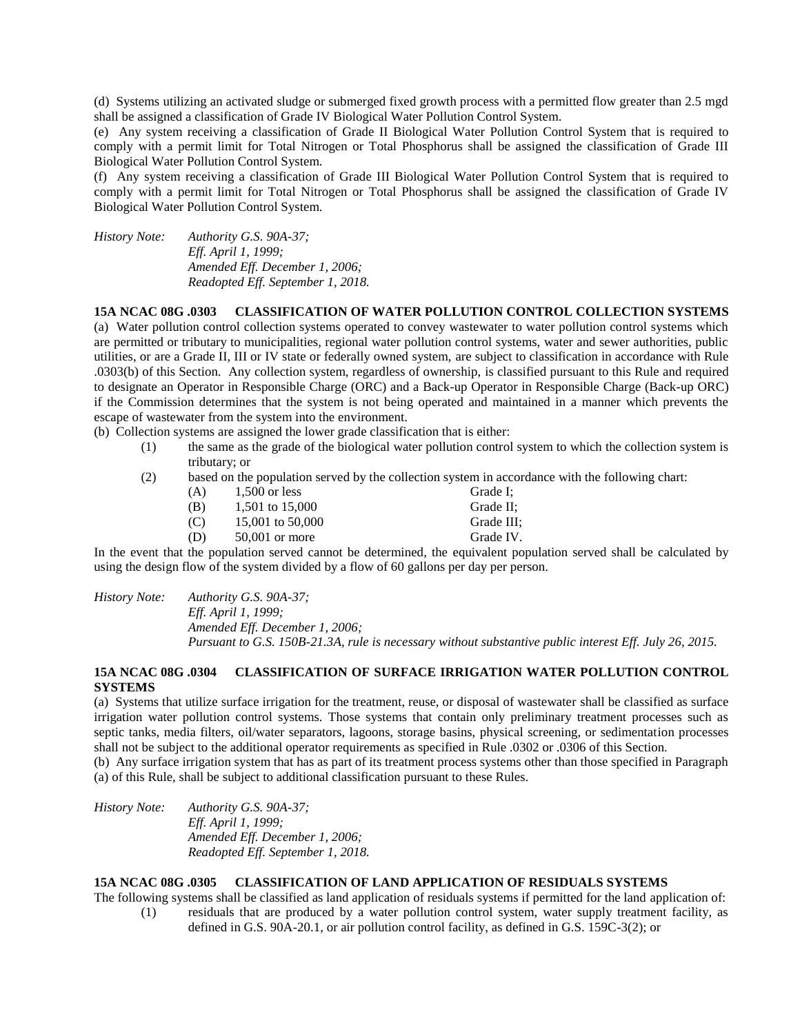(d) Systems utilizing an activated sludge or submerged fixed growth process with a permitted flow greater than 2.5 mgd shall be assigned a classification of Grade IV Biological Water Pollution Control System.

(e) Any system receiving a classification of Grade II Biological Water Pollution Control System that is required to comply with a permit limit for Total Nitrogen or Total Phosphorus shall be assigned the classification of Grade III Biological Water Pollution Control System.

(f) Any system receiving a classification of Grade III Biological Water Pollution Control System that is required to comply with a permit limit for Total Nitrogen or Total Phosphorus shall be assigned the classification of Grade IV Biological Water Pollution Control System.

*History Note: Authority G.S. 90A-37; Eff. April 1, 1999; Amended Eff. December 1, 2006; Readopted Eff. September 1, 2018.*

#### **15A NCAC 08G .0303 CLASSIFICATION OF WATER POLLUTION CONTROL COLLECTION SYSTEMS**

(a) Water pollution control collection systems operated to convey wastewater to water pollution control systems which are permitted or tributary to municipalities, regional water pollution control systems, water and sewer authorities, public utilities, or are a Grade II, III or IV state or federally owned system, are subject to classification in accordance with Rule .0303(b) of this Section. Any collection system, regardless of ownership, is classified pursuant to this Rule and required to designate an Operator in Responsible Charge (ORC) and a Back-up Operator in Responsible Charge (Back-up ORC) if the Commission determines that the system is not being operated and maintained in a manner which prevents the escape of wastewater from the system into the environment.

(b) Collection systems are assigned the lower grade classification that is either:

- (1) the same as the grade of the biological water pollution control system to which the collection system is tributary; or
- (2) based on the population served by the collection system in accordance with the following chart:

| (A) | $1,500$ or less  | Grade I:   |
|-----|------------------|------------|
| (B) | 1,501 to 15,000  | Grade II:  |
| (C) | 15,001 to 50,000 | Grade III: |
| (D) | $50.001$ or more | Grade IV.  |
|     |                  |            |

In the event that the population served cannot be determined, the equivalent population served shall be calculated by using the design flow of the system divided by a flow of 60 gallons per day per person.

*History Note: Authority G.S. 90A-37; Eff. April 1, 1999; Amended Eff. December 1, 2006; Pursuant to G.S. 150B-21.3A, rule is necessary without substantive public interest Eff. July 26, 2015.*

#### **15A NCAC 08G .0304 CLASSIFICATION OF SURFACE IRRIGATION WATER POLLUTION CONTROL SYSTEMS**

(a) Systems that utilize surface irrigation for the treatment, reuse, or disposal of wastewater shall be classified as surface irrigation water pollution control systems. Those systems that contain only preliminary treatment processes such as septic tanks, media filters, oil/water separators, lagoons, storage basins, physical screening, or sedimentation processes shall not be subject to the additional operator requirements as specified in Rule .0302 or .0306 of this Section.

(b) Any surface irrigation system that has as part of its treatment process systems other than those specified in Paragraph (a) of this Rule, shall be subject to additional classification pursuant to these Rules.

*History Note: Authority G.S. 90A-37; Eff. April 1, 1999; Amended Eff. December 1, 2006; Readopted Eff. September 1, 2018.*

## **15A NCAC 08G .0305 CLASSIFICATION OF LAND APPLICATION OF RESIDUALS SYSTEMS**

The following systems shall be classified as land application of residuals systems if permitted for the land application of:

(1) residuals that are produced by a water pollution control system, water supply treatment facility, as defined in G.S. 90A-20.1, or air pollution control facility, as defined in G.S. 159C-3(2); or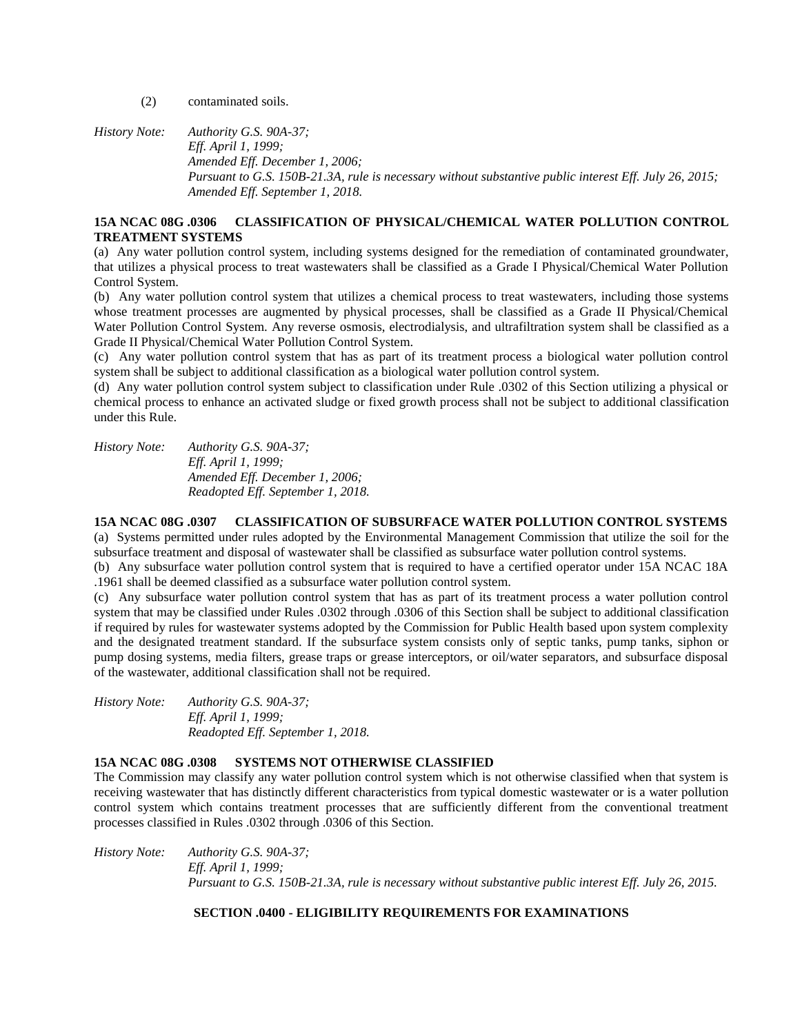(2) contaminated soils.

*History Note: Authority G.S. 90A-37; Eff. April 1, 1999; Amended Eff. December 1, 2006; Pursuant to G.S. 150B-21.3A, rule is necessary without substantive public interest Eff. July 26, 2015; Amended Eff. September 1, 2018.*

# **15A NCAC 08G .0306 CLASSIFICATION OF PHYSICAL/CHEMICAL WATER POLLUTION CONTROL TREATMENT SYSTEMS**

(a) Any water pollution control system, including systems designed for the remediation of contaminated groundwater, that utilizes a physical process to treat wastewaters shall be classified as a Grade I Physical/Chemical Water Pollution Control System.

(b) Any water pollution control system that utilizes a chemical process to treat wastewaters, including those systems whose treatment processes are augmented by physical processes, shall be classified as a Grade II Physical/Chemical Water Pollution Control System. Any reverse osmosis, electrodialysis, and ultrafiltration system shall be classified as a Grade II Physical/Chemical Water Pollution Control System.

(c) Any water pollution control system that has as part of its treatment process a biological water pollution control system shall be subject to additional classification as a biological water pollution control system.

(d) Any water pollution control system subject to classification under Rule .0302 of this Section utilizing a physical or chemical process to enhance an activated sludge or fixed growth process shall not be subject to additional classification under this Rule.

*History Note: Authority G.S. 90A-37; Eff. April 1, 1999; Amended Eff. December 1, 2006; Readopted Eff. September 1, 2018.*

**15A NCAC 08G .0307 CLASSIFICATION OF SUBSURFACE WATER POLLUTION CONTROL SYSTEMS** (a) Systems permitted under rules adopted by the Environmental Management Commission that utilize the soil for the subsurface treatment and disposal of wastewater shall be classified as subsurface water pollution control systems. (b) Any subsurface water pollution control system that is required to have a certified operator under 15A NCAC 18A

.1961 shall be deemed classified as a subsurface water pollution control system.

(c) Any subsurface water pollution control system that has as part of its treatment process a water pollution control system that may be classified under Rules .0302 through .0306 of this Section shall be subject to additional classification if required by rules for wastewater systems adopted by the Commission for Public Health based upon system complexity and the designated treatment standard. If the subsurface system consists only of septic tanks, pump tanks, siphon or pump dosing systems, media filters, grease traps or grease interceptors, or oil/water separators, and subsurface disposal of the wastewater, additional classification shall not be required.

*History Note: Authority G.S. 90A-37; Eff. April 1, 1999; Readopted Eff. September 1, 2018.*

# **15A NCAC 08G .0308 SYSTEMS NOT OTHERWISE CLASSIFIED**

The Commission may classify any water pollution control system which is not otherwise classified when that system is receiving wastewater that has distinctly different characteristics from typical domestic wastewater or is a water pollution control system which contains treatment processes that are sufficiently different from the conventional treatment processes classified in Rules .0302 through .0306 of this Section.

*History Note: Authority G.S. 90A-37; Eff. April 1, 1999; Pursuant to G.S. 150B-21.3A, rule is necessary without substantive public interest Eff. July 26, 2015.*

# **SECTION .0400 - ELIGIBILITY REQUIREMENTS FOR EXAMINATIONS**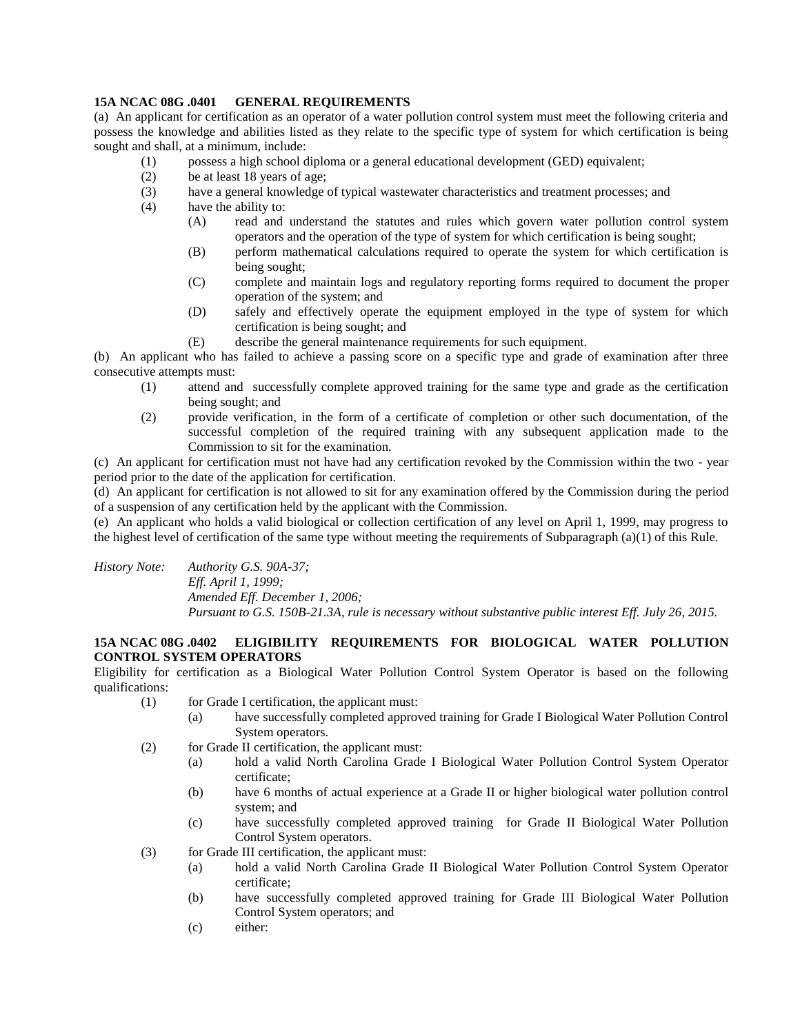# **15A NCAC 08G .0401 GENERAL REQUIREMENTS**

(a) An applicant for certification as an operator of a water pollution control system must meet the following criteria and possess the knowledge and abilities listed as they relate to the specific type of system for which certification is being sought and shall, at a minimum, include:

- (1) possess a high school diploma or a general educational development (GED) equivalent;
- (2) be at least 18 years of age;
- (3) have a general knowledge of typical wastewater characteristics and treatment processes; and
- (4) have the ability to:
	- (A) read and understand the statutes and rules which govern water pollution control system operators and the operation of the type of system for which certification is being sought;
	- (B) perform mathematical calculations required to operate the system for which certification is being sought;
	- (C) complete and maintain logs and regulatory reporting forms required to document the proper operation of the system; and
	- (D) safely and effectively operate the equipment employed in the type of system for which certification is being sought; and
	- (E) describe the general maintenance requirements for such equipment.

(b) An applicant who has failed to achieve a passing score on a specific type and grade of examination after three consecutive attempts must:

- (1) attend and successfully complete approved training for the same type and grade as the certification being sought; and
- (2) provide verification, in the form of a certificate of completion or other such documentation, of the successful completion of the required training with any subsequent application made to the Commission to sit for the examination.

(c) An applicant for certification must not have had any certification revoked by the Commission within the two - year period prior to the date of the application for certification.

(d) An applicant for certification is not allowed to sit for any examination offered by the Commission during the period of a suspension of any certification held by the applicant with the Commission.

(e) An applicant who holds a valid biological or collection certification of any level on April 1, 1999, may progress to the highest level of certification of the same type without meeting the requirements of Subparagraph (a)(1) of this Rule.

*History Note: Authority G.S. 90A-37; Eff. April 1, 1999; Amended Eff. December 1, 2006; Pursuant to G.S. 150B-21.3A, rule is necessary without substantive public interest Eff. July 26, 2015.*

# **15A NCAC 08G .0402 ELIGIBILITY REQUIREMENTS FOR BIOLOGICAL WATER POLLUTION CONTROL SYSTEM OPERATORS**

Eligibility for certification as a Biological Water Pollution Control System Operator is based on the following qualifications:

- (1) for Grade I certification, the applicant must:
	- (a) have successfully completed approved training for Grade I Biological Water Pollution Control System operators.
- (2) for Grade II certification, the applicant must:
	- (a) hold a valid North Carolina Grade I Biological Water Pollution Control System Operator certificate;
	- (b) have 6 months of actual experience at a Grade II or higher biological water pollution control system; and
	- (c) have successfully completed approved training for Grade II Biological Water Pollution Control System operators.
- (3) for Grade III certification, the applicant must:
	- (a) hold a valid North Carolina Grade II Biological Water Pollution Control System Operator certificate;
	- (b) have successfully completed approved training for Grade III Biological Water Pollution Control System operators; and
	- (c) either: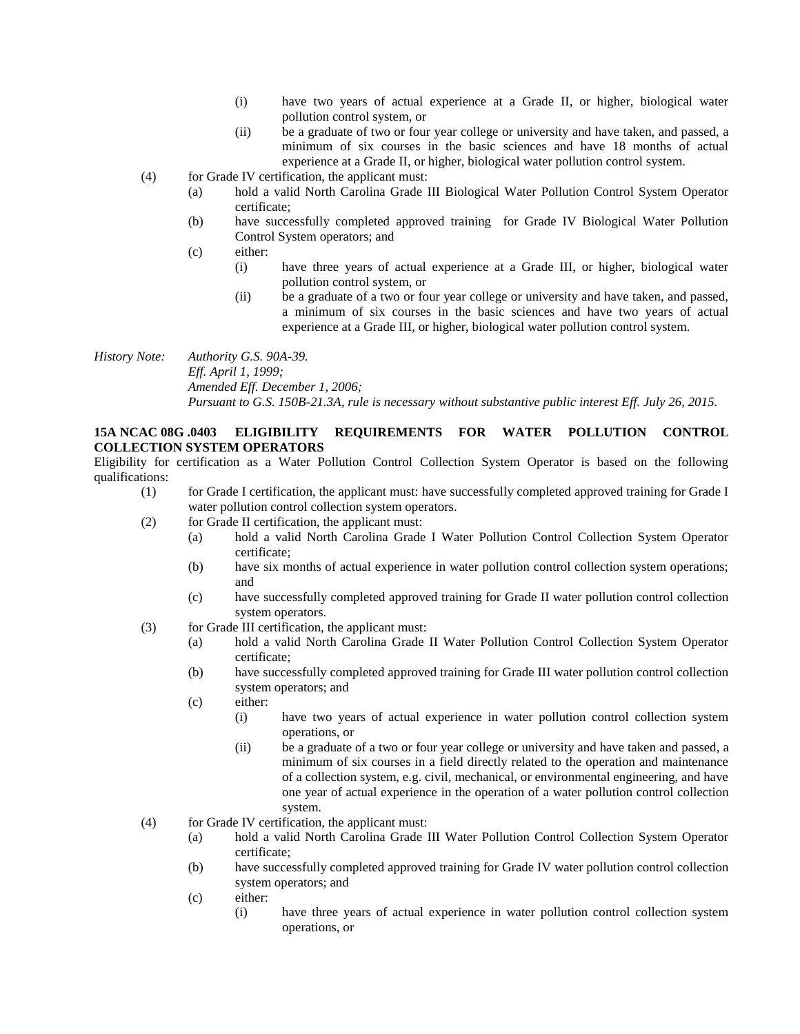- (i) have two years of actual experience at a Grade II, or higher, biological water pollution control system, or
- (ii) be a graduate of two or four year college or university and have taken, and passed, a minimum of six courses in the basic sciences and have 18 months of actual experience at a Grade II, or higher, biological water pollution control system.
- (4) for Grade IV certification, the applicant must:
	- (a) hold a valid North Carolina Grade III Biological Water Pollution Control System Operator certificate;
	- (b) have successfully completed approved training for Grade IV Biological Water Pollution Control System operators; and
	- (c) either:
		- (i) have three years of actual experience at a Grade III, or higher, biological water pollution control system, or
		- (ii) be a graduate of a two or four year college or university and have taken, and passed, a minimum of six courses in the basic sciences and have two years of actual experience at a Grade III, or higher, biological water pollution control system.

*History Note: Authority G.S. 90A-39. Eff. April 1, 1999; Amended Eff. December 1, 2006; Pursuant to G.S. 150B-21.3A, rule is necessary without substantive public interest Eff. July 26, 2015.*

# **15A NCAC 08G .0403 ELIGIBILITY REQUIREMENTS FOR WATER POLLUTION CONTROL COLLECTION SYSTEM OPERATORS**

Eligibility for certification as a Water Pollution Control Collection System Operator is based on the following qualifications:

- (1) for Grade I certification, the applicant must: have successfully completed approved training for Grade I water pollution control collection system operators.
- (2) for Grade II certification, the applicant must:
	- (a) hold a valid North Carolina Grade I Water Pollution Control Collection System Operator certificate;
	- (b) have six months of actual experience in water pollution control collection system operations; and
	- (c) have successfully completed approved training for Grade II water pollution control collection system operators.
- (3) for Grade III certification, the applicant must:
	- (a) hold a valid North Carolina Grade II Water Pollution Control Collection System Operator certificate;
	- (b) have successfully completed approved training for Grade III water pollution control collection system operators; and
	- (c) either:
		- (i) have two years of actual experience in water pollution control collection system operations, or
		- (ii) be a graduate of a two or four year college or university and have taken and passed, a minimum of six courses in a field directly related to the operation and maintenance of a collection system, e.g. civil, mechanical, or environmental engineering, and have one year of actual experience in the operation of a water pollution control collection system.
- (4) for Grade IV certification, the applicant must:
	- (a) hold a valid North Carolina Grade III Water Pollution Control Collection System Operator certificate;
	- (b) have successfully completed approved training for Grade IV water pollution control collection system operators; and
	- (c) either:
		- (i) have three years of actual experience in water pollution control collection system operations, or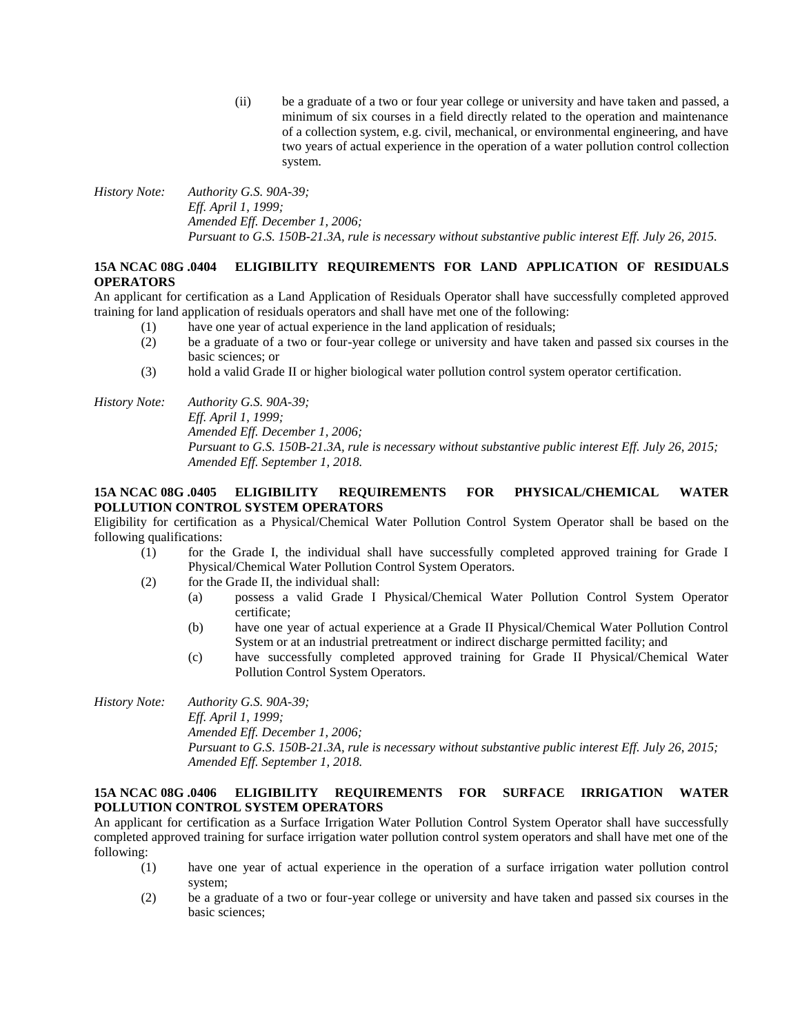(ii) be a graduate of a two or four year college or university and have taken and passed, a minimum of six courses in a field directly related to the operation and maintenance of a collection system, e.g. civil, mechanical, or environmental engineering, and have two years of actual experience in the operation of a water pollution control collection system.

*History Note: Authority G.S. 90A-39; Eff. April 1, 1999; Amended Eff. December 1, 2006; Pursuant to G.S. 150B-21.3A, rule is necessary without substantive public interest Eff. July 26, 2015.*

# **15A NCAC 08G .0404 ELIGIBILITY REQUIREMENTS FOR LAND APPLICATION OF RESIDUALS OPERATORS**

An applicant for certification as a Land Application of Residuals Operator shall have successfully completed approved training for land application of residuals operators and shall have met one of the following:

- (1) have one year of actual experience in the land application of residuals;
- (2) be a graduate of a two or four-year college or university and have taken and passed six courses in the basic sciences; or
- (3) hold a valid Grade II or higher biological water pollution control system operator certification.

*History Note: Authority G.S. 90A-39; Eff. April 1, 1999; Amended Eff. December 1, 2006; Pursuant to G.S. 150B-21.3A, rule is necessary without substantive public interest Eff. July 26, 2015; Amended Eff. September 1, 2018.*

# **15A NCAC 08G .0405 ELIGIBILITY REQUIREMENTS FOR PHYSICAL/CHEMICAL WATER POLLUTION CONTROL SYSTEM OPERATORS**

Eligibility for certification as a Physical/Chemical Water Pollution Control System Operator shall be based on the following qualifications:

- (1) for the Grade I, the individual shall have successfully completed approved training for Grade I Physical/Chemical Water Pollution Control System Operators.
- (2) for the Grade II, the individual shall:
	- (a) possess a valid Grade I Physical/Chemical Water Pollution Control System Operator certificate;
	- (b) have one year of actual experience at a Grade II Physical/Chemical Water Pollution Control System or at an industrial pretreatment or indirect discharge permitted facility; and
	- (c) have successfully completed approved training for Grade II Physical/Chemical Water Pollution Control System Operators.

*History Note: Authority G.S. 90A-39; Eff. April 1, 1999; Amended Eff. December 1, 2006; Pursuant to G.S. 150B-21.3A, rule is necessary without substantive public interest Eff. July 26, 2015; Amended Eff. September 1, 2018.*

## **15A NCAC 08G .0406 ELIGIBILITY REQUIREMENTS FOR SURFACE IRRIGATION WATER POLLUTION CONTROL SYSTEM OPERATORS**

An applicant for certification as a Surface Irrigation Water Pollution Control System Operator shall have successfully completed approved training for surface irrigation water pollution control system operators and shall have met one of the following:

- (1) have one year of actual experience in the operation of a surface irrigation water pollution control system;
- (2) be a graduate of a two or four-year college or university and have taken and passed six courses in the basic sciences;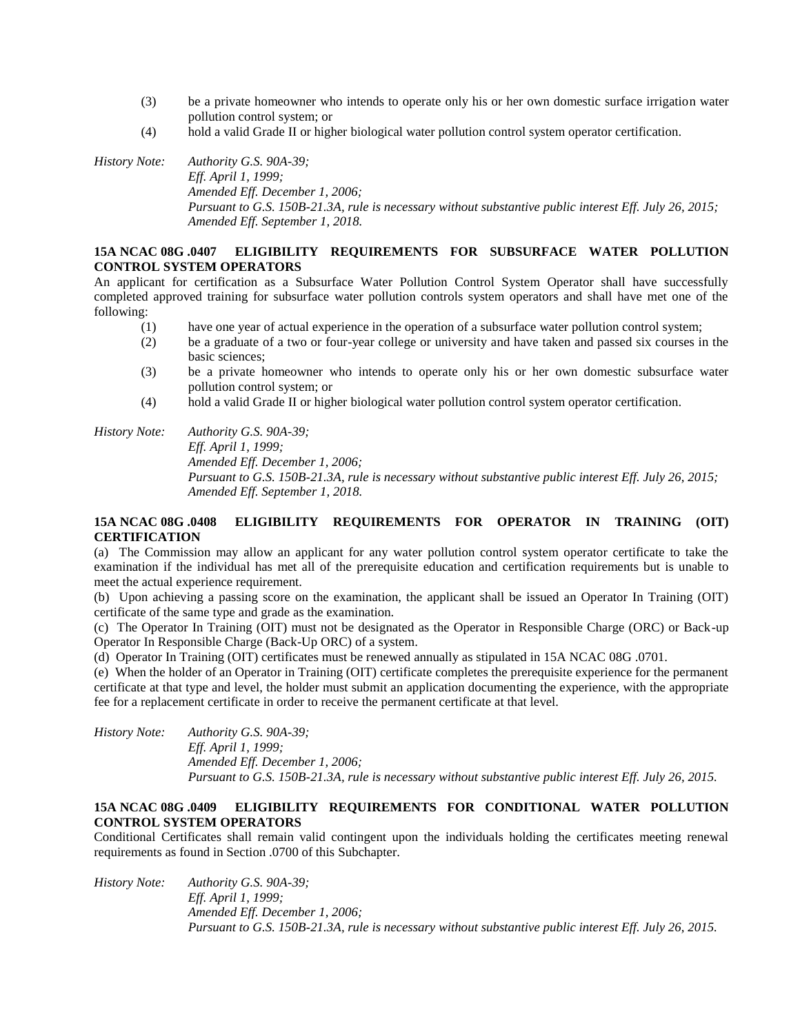- (3) be a private homeowner who intends to operate only his or her own domestic surface irrigation water pollution control system; or
- (4) hold a valid Grade II or higher biological water pollution control system operator certification.

*History Note: Authority G.S. 90A-39; Eff. April 1, 1999; Amended Eff. December 1, 2006; Pursuant to G.S. 150B-21.3A, rule is necessary without substantive public interest Eff. July 26, 2015; Amended Eff. September 1, 2018.*

### **15A NCAC 08G .0407 ELIGIBILITY REQUIREMENTS FOR SUBSURFACE WATER POLLUTION CONTROL SYSTEM OPERATORS**

An applicant for certification as a Subsurface Water Pollution Control System Operator shall have successfully completed approved training for subsurface water pollution controls system operators and shall have met one of the following:

- (1) have one year of actual experience in the operation of a subsurface water pollution control system;
- (2) be a graduate of a two or four-year college or university and have taken and passed six courses in the basic sciences;
- (3) be a private homeowner who intends to operate only his or her own domestic subsurface water pollution control system; or
- (4) hold a valid Grade II or higher biological water pollution control system operator certification.

*History Note: Authority G.S. 90A-39;*

*Eff. April 1, 1999; Amended Eff. December 1, 2006;*

*Pursuant to G.S. 150B-21.3A, rule is necessary without substantive public interest Eff. July 26, 2015; Amended Eff. September 1, 2018.*

# **15A NCAC 08G .0408 ELIGIBILITY REQUIREMENTS FOR OPERATOR IN TRAINING (OIT) CERTIFICATION**

(a) The Commission may allow an applicant for any water pollution control system operator certificate to take the examination if the individual has met all of the prerequisite education and certification requirements but is unable to meet the actual experience requirement.

(b) Upon achieving a passing score on the examination, the applicant shall be issued an Operator In Training (OIT) certificate of the same type and grade as the examination.

(c) The Operator In Training (OIT) must not be designated as the Operator in Responsible Charge (ORC) or Back-up Operator In Responsible Charge (Back-Up ORC) of a system.

(d) Operator In Training (OIT) certificates must be renewed annually as stipulated in 15A NCAC 08G .0701.

(e) When the holder of an Operator in Training (OIT) certificate completes the prerequisite experience for the permanent certificate at that type and level, the holder must submit an application documenting the experience, with the appropriate fee for a replacement certificate in order to receive the permanent certificate at that level.

*History Note: Authority G.S. 90A-39; Eff. April 1, 1999; Amended Eff. December 1, 2006; Pursuant to G.S. 150B-21.3A, rule is necessary without substantive public interest Eff. July 26, 2015.*

# **15A NCAC 08G .0409 ELIGIBILITY REQUIREMENTS FOR CONDITIONAL WATER POLLUTION CONTROL SYSTEM OPERATORS**

Conditional Certificates shall remain valid contingent upon the individuals holding the certificates meeting renewal requirements as found in Section .0700 of this Subchapter.

*History Note: Authority G.S. 90A-39; Eff. April 1, 1999; Amended Eff. December 1, 2006; Pursuant to G.S. 150B-21.3A, rule is necessary without substantive public interest Eff. July 26, 2015.*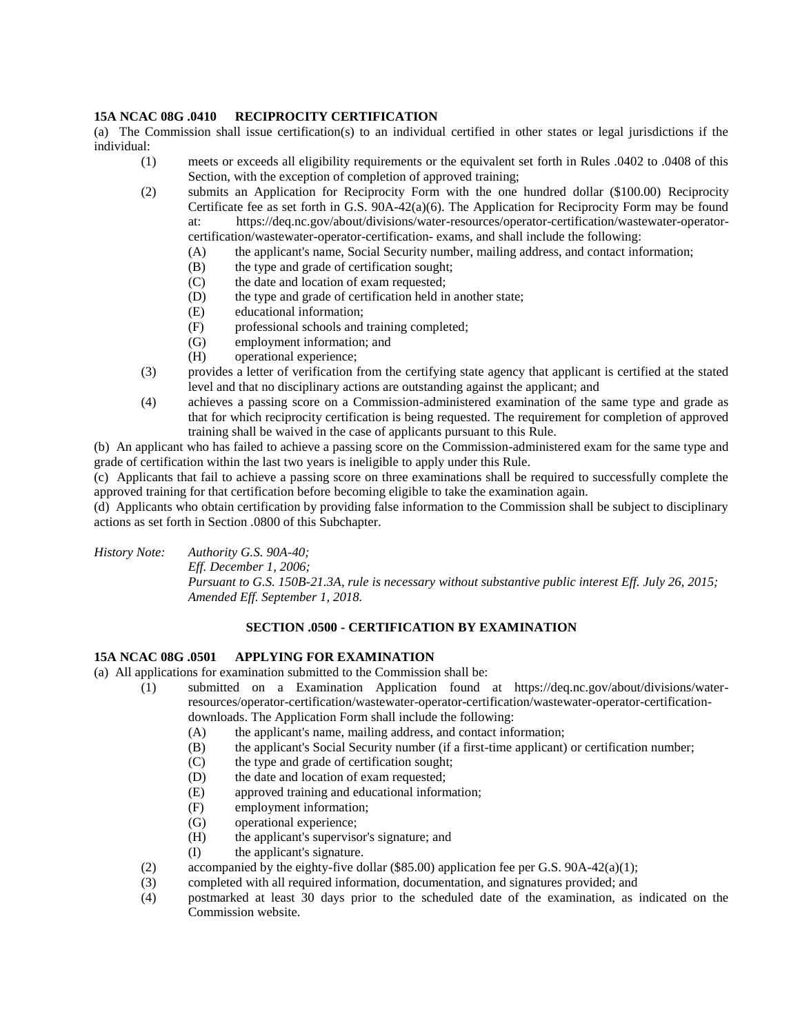## **15A NCAC 08G .0410 RECIPROCITY CERTIFICATION**

(a) The Commission shall issue certification(s) to an individual certified in other states or legal jurisdictions if the individual:

- (1) meets or exceeds all eligibility requirements or the equivalent set forth in Rules .0402 to .0408 of this Section, with the exception of completion of approved training;
- (2) submits an Application for Reciprocity Form with the one hundred dollar (\$100.00) Reciprocity Certificate fee as set forth in G.S. 90A-42(a)(6). The Application for Reciprocity Form may be found at: https://deq.nc.gov/about/divisions/water-resources/operator-certification/wastewater-operatorcertification/wastewater-operator-certification- exams, and shall include the following:

(A) the applicant's name, Social Security number, mailing address, and contact information;

- (B) the type and grade of certification sought;
- (C) the date and location of exam requested;
- (D) the type and grade of certification held in another state;
- (E) educational information;
- (F) professional schools and training completed;
- (G) employment information; and
- (H) operational experience;
- (3) provides a letter of verification from the certifying state agency that applicant is certified at the stated level and that no disciplinary actions are outstanding against the applicant; and
- (4) achieves a passing score on a Commission-administered examination of the same type and grade as that for which reciprocity certification is being requested. The requirement for completion of approved training shall be waived in the case of applicants pursuant to this Rule.

(b) An applicant who has failed to achieve a passing score on the Commission-administered exam for the same type and grade of certification within the last two years is ineligible to apply under this Rule.

(c) Applicants that fail to achieve a passing score on three examinations shall be required to successfully complete the approved training for that certification before becoming eligible to take the examination again.

(d) Applicants who obtain certification by providing false information to the Commission shall be subject to disciplinary actions as set forth in Section .0800 of this Subchapter.

*History Note: Authority G.S. 90A-40;*

*Eff. December 1, 2006;*

*Pursuant to G.S. 150B-21.3A, rule is necessary without substantive public interest Eff. July 26, 2015; Amended Eff. September 1, 2018.*

# **SECTION .0500 - CERTIFICATION BY EXAMINATION**

#### **15A NCAC 08G .0501 APPLYING FOR EXAMINATION**

(a) All applications for examination submitted to the Commission shall be:

- (1) submitted on a Examination Application found at https://deq.nc.gov/about/divisions/waterresources/operator-certification/wastewater-operator-certification/wastewater-operator-certificationdownloads. The Application Form shall include the following:
	- (A) the applicant's name, mailing address, and contact information;
	- (B) the applicant's Social Security number (if a first-time applicant) or certification number;
	- (C) the type and grade of certification sought;
	- (D) the date and location of exam requested;
	- (E) approved training and educational information;
	- (F) employment information;
	- (G) operational experience;
	- (H) the applicant's supervisor's signature; and
	- (I) the applicant's signature.
- (2) accompanied by the eighty-five dollar  $(\$85.00)$  application fee per G.S.  $90A-42(a)(1)$ ;
- (3) completed with all required information, documentation, and signatures provided; and
- (4) postmarked at least 30 days prior to the scheduled date of the examination, as indicated on the Commission website.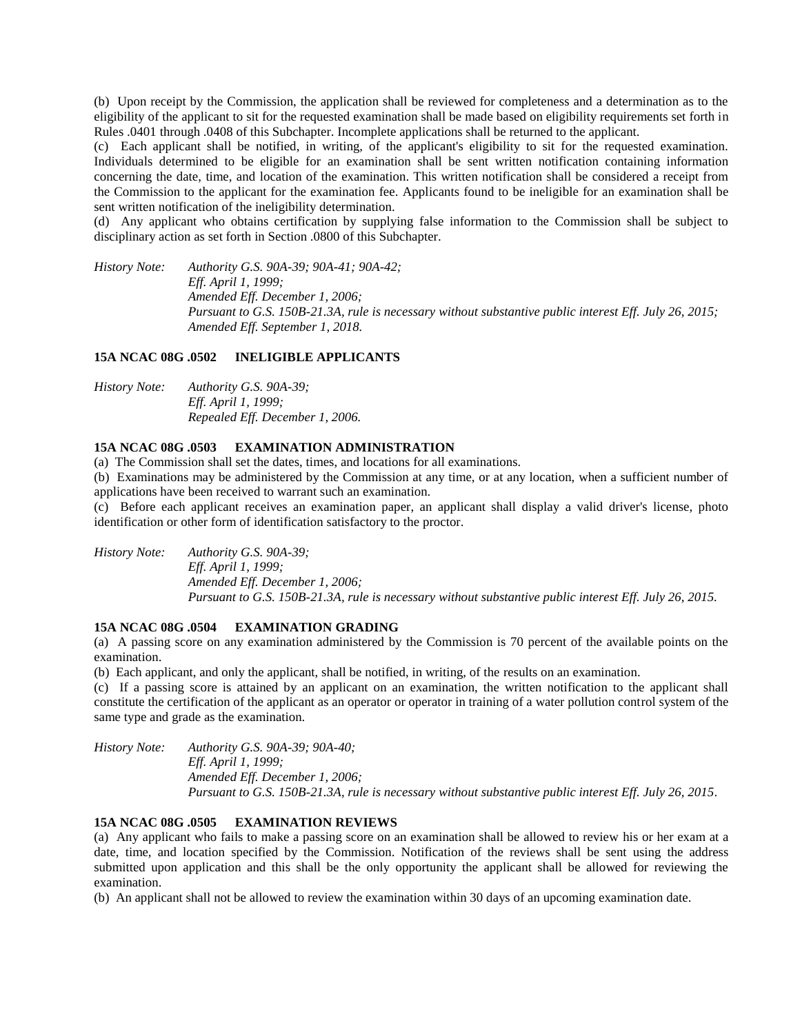(b) Upon receipt by the Commission, the application shall be reviewed for completeness and a determination as to the eligibility of the applicant to sit for the requested examination shall be made based on eligibility requirements set forth in Rules .0401 through .0408 of this Subchapter. Incomplete applications shall be returned to the applicant.

(c) Each applicant shall be notified, in writing, of the applicant's eligibility to sit for the requested examination. Individuals determined to be eligible for an examination shall be sent written notification containing information concerning the date, time, and location of the examination. This written notification shall be considered a receipt from the Commission to the applicant for the examination fee. Applicants found to be ineligible for an examination shall be sent written notification of the ineligibility determination.

(d) Any applicant who obtains certification by supplying false information to the Commission shall be subject to disciplinary action as set forth in Section .0800 of this Subchapter.

*History Note: Authority G.S. 90A-39; 90A-41; 90A-42; Eff. April 1, 1999; Amended Eff. December 1, 2006; Pursuant to G.S. 150B-21.3A, rule is necessary without substantive public interest Eff. July 26, 2015; Amended Eff. September 1, 2018.*

#### **15A NCAC 08G .0502 INELIGIBLE APPLICANTS**

*History Note: Authority G.S. 90A-39; Eff. April 1, 1999; Repealed Eff. December 1, 2006.*

#### **15A NCAC 08G .0503 EXAMINATION ADMINISTRATION**

(a) The Commission shall set the dates, times, and locations for all examinations.

(b) Examinations may be administered by the Commission at any time, or at any location, when a sufficient number of applications have been received to warrant such an examination.

(c) Before each applicant receives an examination paper, an applicant shall display a valid driver's license, photo identification or other form of identification satisfactory to the proctor.

*History Note: Authority G.S. 90A-39; Eff. April 1, 1999; Amended Eff. December 1, 2006; Pursuant to G.S. 150B-21.3A, rule is necessary without substantive public interest Eff. July 26, 2015.*

#### **15A NCAC 08G .0504 EXAMINATION GRADING**

(a) A passing score on any examination administered by the Commission is 70 percent of the available points on the examination.

(b) Each applicant, and only the applicant, shall be notified, in writing, of the results on an examination.

(c) If a passing score is attained by an applicant on an examination, the written notification to the applicant shall constitute the certification of the applicant as an operator or operator in training of a water pollution control system of the same type and grade as the examination.

*History Note: Authority G.S. 90A-39; 90A-40; Eff. April 1, 1999; Amended Eff. December 1, 2006; Pursuant to G.S. 150B-21.3A, rule is necessary without substantive public interest Eff. July 26, 2015.*

#### **15A NCAC 08G .0505 EXAMINATION REVIEWS**

(a) Any applicant who fails to make a passing score on an examination shall be allowed to review his or her exam at a date, time, and location specified by the Commission. Notification of the reviews shall be sent using the address submitted upon application and this shall be the only opportunity the applicant shall be allowed for reviewing the examination.

(b) An applicant shall not be allowed to review the examination within 30 days of an upcoming examination date.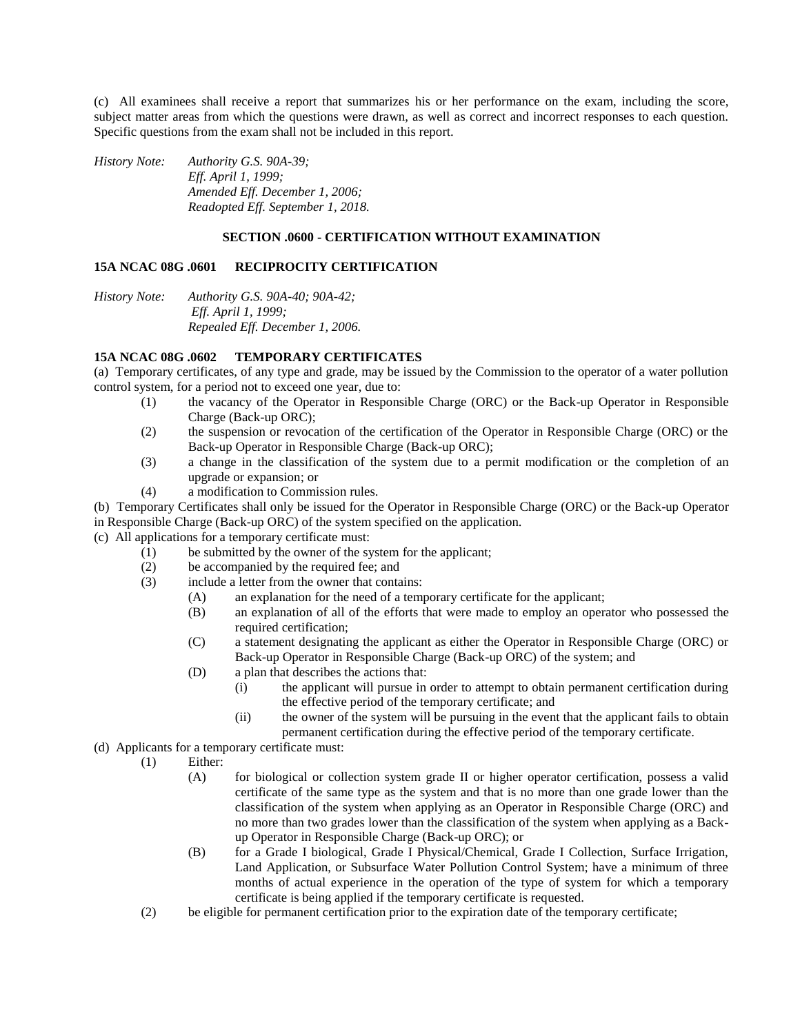(c) All examinees shall receive a report that summarizes his or her performance on the exam, including the score, subject matter areas from which the questions were drawn, as well as correct and incorrect responses to each question. Specific questions from the exam shall not be included in this report.

*History Note: Authority G.S. 90A-39; Eff. April 1, 1999; Amended Eff. December 1, 2006; Readopted Eff. September 1, 2018.*

#### **SECTION .0600 - CERTIFICATION WITHOUT EXAMINATION**

### **15A NCAC 08G .0601 RECIPROCITY CERTIFICATION**

*History Note: Authority G.S. 90A-40; 90A-42; Eff. April 1, 1999; Repealed Eff. December 1, 2006.*

### **15A NCAC 08G .0602 TEMPORARY CERTIFICATES**

(a) Temporary certificates, of any type and grade, may be issued by the Commission to the operator of a water pollution control system, for a period not to exceed one year, due to:

- (1) the vacancy of the Operator in Responsible Charge (ORC) or the Back-up Operator in Responsible Charge (Back-up ORC);
- (2) the suspension or revocation of the certification of the Operator in Responsible Charge (ORC) or the Back-up Operator in Responsible Charge (Back-up ORC);
- (3) a change in the classification of the system due to a permit modification or the completion of an upgrade or expansion; or
- (4) a modification to Commission rules.

(b) Temporary Certificates shall only be issued for the Operator in Responsible Charge (ORC) or the Back-up Operator in Responsible Charge (Back-up ORC) of the system specified on the application.

- (c) All applications for a temporary certificate must:
	- (1) be submitted by the owner of the system for the applicant;
	- (2) be accompanied by the required fee; and
	- (3) include a letter from the owner that contains:
		- (A) an explanation for the need of a temporary certificate for the applicant;
		- (B) an explanation of all of the efforts that were made to employ an operator who possessed the required certification;
		- (C) a statement designating the applicant as either the Operator in Responsible Charge (ORC) or Back-up Operator in Responsible Charge (Back-up ORC) of the system; and
		- (D) a plan that describes the actions that:
			- (i) the applicant will pursue in order to attempt to obtain permanent certification during the effective period of the temporary certificate; and
			- (ii) the owner of the system will be pursuing in the event that the applicant fails to obtain permanent certification during the effective period of the temporary certificate.
- (d) Applicants for a temporary certificate must:
	- (1) Either:
		- (A) for biological or collection system grade II or higher operator certification, possess a valid certificate of the same type as the system and that is no more than one grade lower than the classification of the system when applying as an Operator in Responsible Charge (ORC) and no more than two grades lower than the classification of the system when applying as a Backup Operator in Responsible Charge (Back-up ORC); or
		- (B) for a Grade I biological, Grade I Physical/Chemical, Grade I Collection, Surface Irrigation, Land Application, or Subsurface Water Pollution Control System; have a minimum of three months of actual experience in the operation of the type of system for which a temporary certificate is being applied if the temporary certificate is requested.
	- (2) be eligible for permanent certification prior to the expiration date of the temporary certificate;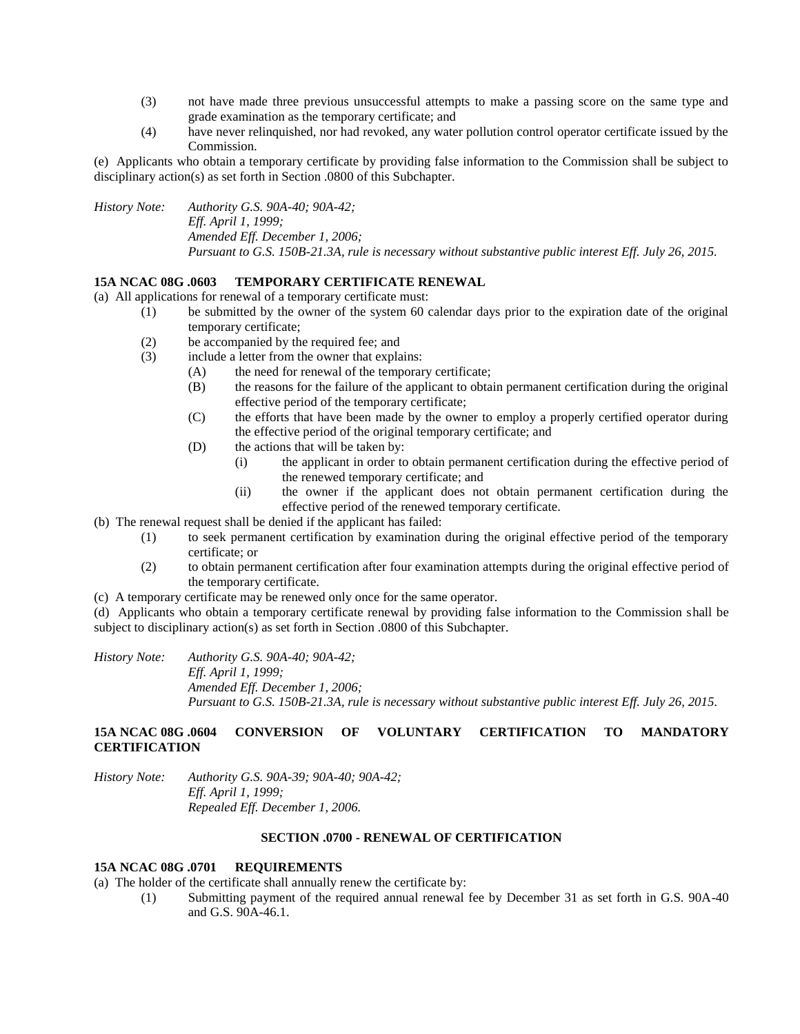- (3) not have made three previous unsuccessful attempts to make a passing score on the same type and grade examination as the temporary certificate; and
- (4) have never relinquished, nor had revoked, any water pollution control operator certificate issued by the Commission.

(e) Applicants who obtain a temporary certificate by providing false information to the Commission shall be subject to disciplinary action(s) as set forth in Section .0800 of this Subchapter.

*History Note: Authority G.S. 90A-40; 90A-42; Eff. April 1, 1999; Amended Eff. December 1, 2006; Pursuant to G.S. 150B-21.3A, rule is necessary without substantive public interest Eff. July 26, 2015.*

# **15A NCAC 08G .0603 TEMPORARY CERTIFICATE RENEWAL**

(a) All applications for renewal of a temporary certificate must:

- (1) be submitted by the owner of the system 60 calendar days prior to the expiration date of the original temporary certificate;
	- (2) be accompanied by the required fee; and
	- (3) include a letter from the owner that explains:
		- (A) the need for renewal of the temporary certificate;
		- (B) the reasons for the failure of the applicant to obtain permanent certification during the original effective period of the temporary certificate;
		- (C) the efforts that have been made by the owner to employ a properly certified operator during the effective period of the original temporary certificate; and
		- (D) the actions that will be taken by:
			- (i) the applicant in order to obtain permanent certification during the effective period of the renewed temporary certificate; and
			- (ii) the owner if the applicant does not obtain permanent certification during the effective period of the renewed temporary certificate.

(b) The renewal request shall be denied if the applicant has failed:

- (1) to seek permanent certification by examination during the original effective period of the temporary certificate; or
- (2) to obtain permanent certification after four examination attempts during the original effective period of the temporary certificate.
- (c) A temporary certificate may be renewed only once for the same operator.

(d) Applicants who obtain a temporary certificate renewal by providing false information to the Commission shall be subject to disciplinary action(s) as set forth in Section .0800 of this Subchapter.

*History Note: Authority G.S. 90A-40; 90A-42; Eff. April 1, 1999; Amended Eff. December 1, 2006; Pursuant to G.S. 150B-21.3A, rule is necessary without substantive public interest Eff. July 26, 2015.*

# **15A NCAC 08G .0604 CONVERSION OF VOLUNTARY CERTIFICATION TO MANDATORY CERTIFICATION**

*History Note: Authority G.S. 90A-39; 90A-40; 90A-42; Eff. April 1, 1999; Repealed Eff. December 1, 2006.*

#### **SECTION .0700 - RENEWAL OF CERTIFICATION**

## **15A NCAC 08G .0701 REQUIREMENTS**

(a) The holder of the certificate shall annually renew the certificate by:

(1) Submitting payment of the required annual renewal fee by December 31 as set forth in G.S. 90A-40 and G.S. 90A-46.1.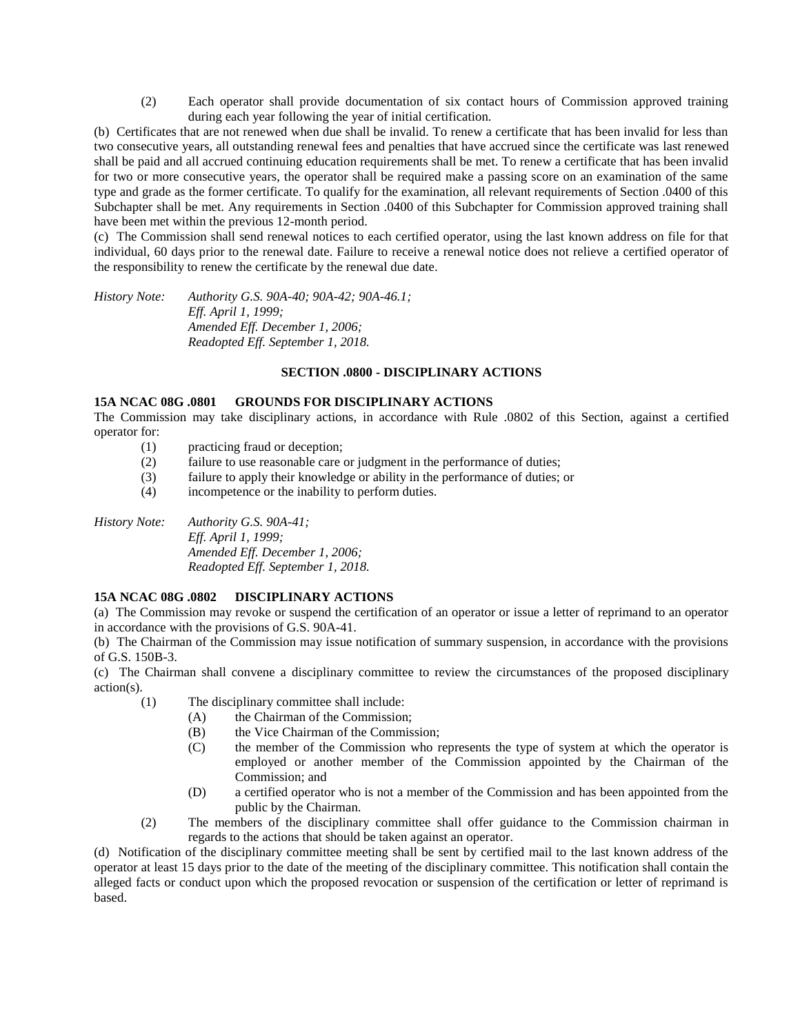(2) Each operator shall provide documentation of six contact hours of Commission approved training during each year following the year of initial certification.

(b) Certificates that are not renewed when due shall be invalid. To renew a certificate that has been invalid for less than two consecutive years, all outstanding renewal fees and penalties that have accrued since the certificate was last renewed shall be paid and all accrued continuing education requirements shall be met. To renew a certificate that has been invalid for two or more consecutive years, the operator shall be required make a passing score on an examination of the same type and grade as the former certificate. To qualify for the examination, all relevant requirements of Section .0400 of this Subchapter shall be met. Any requirements in Section .0400 of this Subchapter for Commission approved training shall have been met within the previous 12-month period.

(c) The Commission shall send renewal notices to each certified operator, using the last known address on file for that individual, 60 days prior to the renewal date. Failure to receive a renewal notice does not relieve a certified operator of the responsibility to renew the certificate by the renewal due date.

*History Note: Authority G.S. 90A-40; 90A-42; 90A-46.1; Eff. April 1, 1999; Amended Eff. December 1, 2006; Readopted Eff. September 1, 2018.*

# **SECTION .0800 - DISCIPLINARY ACTIONS**

### **15A NCAC 08G .0801 GROUNDS FOR DISCIPLINARY ACTIONS**

The Commission may take disciplinary actions, in accordance with Rule .0802 of this Section, against a certified operator for:

- (1) practicing fraud or deception;
- (2) failure to use reasonable care or judgment in the performance of duties;
- (3) failure to apply their knowledge or ability in the performance of duties; or
- (4) incompetence or the inability to perform duties.

*History Note: Authority G.S. 90A-41; Eff. April 1, 1999; Amended Eff. December 1, 2006; Readopted Eff. September 1, 2018.*

# **15A NCAC 08G .0802 DISCIPLINARY ACTIONS**

(a) The Commission may revoke or suspend the certification of an operator or issue a letter of reprimand to an operator in accordance with the provisions of G.S. 90A-41.

(b) The Chairman of the Commission may issue notification of summary suspension, in accordance with the provisions of G.S. 150B-3.

(c) The Chairman shall convene a disciplinary committee to review the circumstances of the proposed disciplinary action(s).

- (1) The disciplinary committee shall include:
	- (A) the Chairman of the Commission;
	- (B) the Vice Chairman of the Commission;
	- (C) the member of the Commission who represents the type of system at which the operator is employed or another member of the Commission appointed by the Chairman of the Commission; and
	- (D) a certified operator who is not a member of the Commission and has been appointed from the public by the Chairman.
- (2) The members of the disciplinary committee shall offer guidance to the Commission chairman in regards to the actions that should be taken against an operator.

(d) Notification of the disciplinary committee meeting shall be sent by certified mail to the last known address of the operator at least 15 days prior to the date of the meeting of the disciplinary committee. This notification shall contain the alleged facts or conduct upon which the proposed revocation or suspension of the certification or letter of reprimand is based.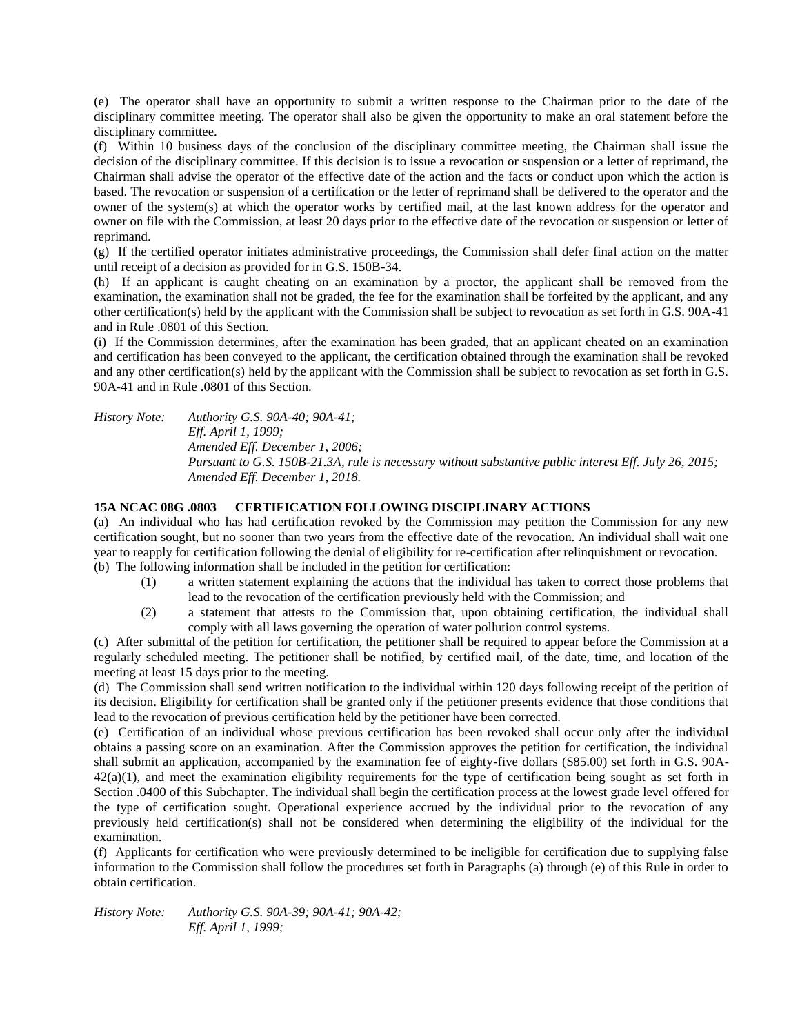(e) The operator shall have an opportunity to submit a written response to the Chairman prior to the date of the disciplinary committee meeting. The operator shall also be given the opportunity to make an oral statement before the disciplinary committee.

(f) Within 10 business days of the conclusion of the disciplinary committee meeting, the Chairman shall issue the decision of the disciplinary committee. If this decision is to issue a revocation or suspension or a letter of reprimand, the Chairman shall advise the operator of the effective date of the action and the facts or conduct upon which the action is based. The revocation or suspension of a certification or the letter of reprimand shall be delivered to the operator and the owner of the system(s) at which the operator works by certified mail, at the last known address for the operator and owner on file with the Commission, at least 20 days prior to the effective date of the revocation or suspension or letter of reprimand.

(g) If the certified operator initiates administrative proceedings, the Commission shall defer final action on the matter until receipt of a decision as provided for in G.S. 150B-34.

(h) If an applicant is caught cheating on an examination by a proctor, the applicant shall be removed from the examination, the examination shall not be graded, the fee for the examination shall be forfeited by the applicant, and any other certification(s) held by the applicant with the Commission shall be subject to revocation as set forth in G.S. 90A-41 and in Rule .0801 of this Section.

(i) If the Commission determines, after the examination has been graded, that an applicant cheated on an examination and certification has been conveyed to the applicant, the certification obtained through the examination shall be revoked and any other certification(s) held by the applicant with the Commission shall be subject to revocation as set forth in G.S. 90A-41 and in Rule .0801 of this Section.

*History Note: Authority G.S. 90A-40; 90A-41; Eff. April 1, 1999; Amended Eff. December 1, 2006; Pursuant to G.S. 150B-21.3A, rule is necessary without substantive public interest Eff. July 26, 2015; Amended Eff. December 1, 2018.*

### **15A NCAC 08G .0803 CERTIFICATION FOLLOWING DISCIPLINARY ACTIONS**

(a) An individual who has had certification revoked by the Commission may petition the Commission for any new certification sought, but no sooner than two years from the effective date of the revocation. An individual shall wait one year to reapply for certification following the denial of eligibility for re-certification after relinquishment or revocation. (b) The following information shall be included in the petition for certification:

- (1) a written statement explaining the actions that the individual has taken to correct those problems that lead to the revocation of the certification previously held with the Commission; and
- (2) a statement that attests to the Commission that, upon obtaining certification, the individual shall comply with all laws governing the operation of water pollution control systems.

(c) After submittal of the petition for certification, the petitioner shall be required to appear before the Commission at a regularly scheduled meeting. The petitioner shall be notified, by certified mail, of the date, time, and location of the meeting at least 15 days prior to the meeting.

(d) The Commission shall send written notification to the individual within 120 days following receipt of the petition of its decision. Eligibility for certification shall be granted only if the petitioner presents evidence that those conditions that lead to the revocation of previous certification held by the petitioner have been corrected.

(e) Certification of an individual whose previous certification has been revoked shall occur only after the individual obtains a passing score on an examination. After the Commission approves the petition for certification, the individual shall submit an application, accompanied by the examination fee of eighty-five dollars (\$85.00) set forth in G.S. 90A- $42(a)(1)$ , and meet the examination eligibility requirements for the type of certification being sought as set forth in Section .0400 of this Subchapter. The individual shall begin the certification process at the lowest grade level offered for the type of certification sought. Operational experience accrued by the individual prior to the revocation of any previously held certification(s) shall not be considered when determining the eligibility of the individual for the examination.

(f) Applicants for certification who were previously determined to be ineligible for certification due to supplying false information to the Commission shall follow the procedures set forth in Paragraphs (a) through (e) of this Rule in order to obtain certification.

*History Note: Authority G.S. 90A-39; 90A-41; 90A-42; Eff. April 1, 1999;*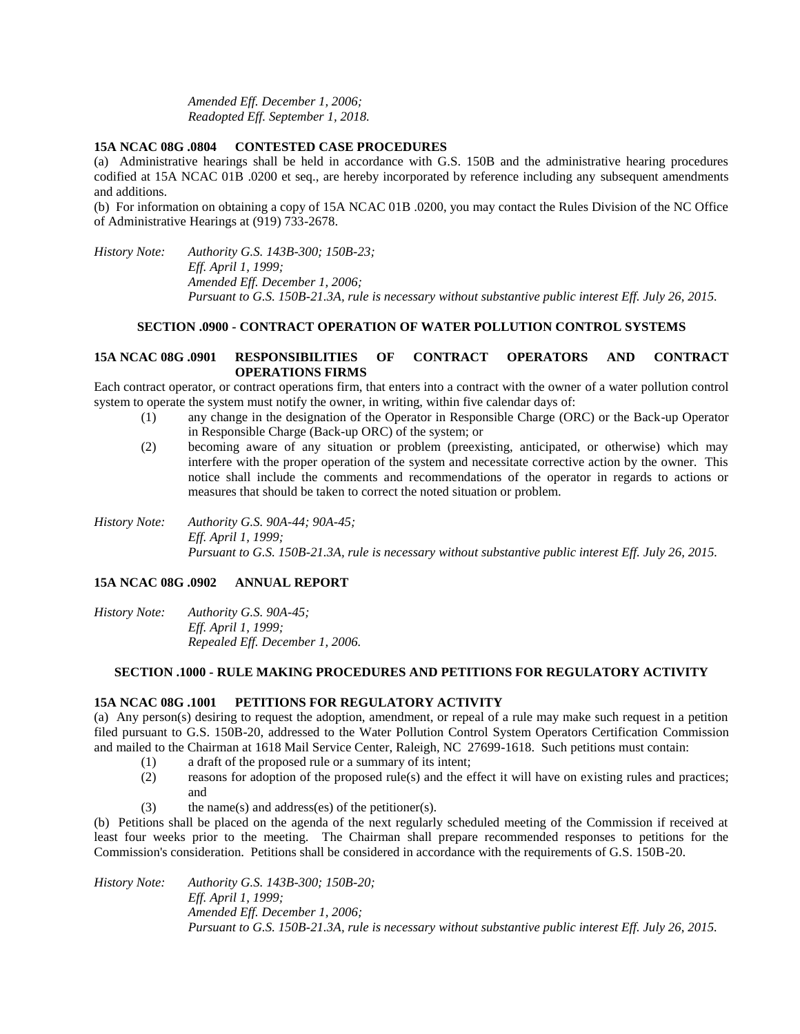*Amended Eff. December 1, 2006; Readopted Eff. September 1, 2018.*

### **15A NCAC 08G .0804 CONTESTED CASE PROCEDURES**

(a) Administrative hearings shall be held in accordance with G.S. 150B and the administrative hearing procedures codified at 15A NCAC 01B .0200 et seq., are hereby incorporated by reference including any subsequent amendments and additions.

(b) For information on obtaining a copy of 15A NCAC 01B .0200, you may contact the Rules Division of the NC Office of Administrative Hearings at (919) 733-2678.

*History Note: Authority G.S. 143B-300; 150B-23; Eff. April 1, 1999; Amended Eff. December 1, 2006; Pursuant to G.S. 150B-21.3A, rule is necessary without substantive public interest Eff. July 26, 2015.*

### **SECTION .0900 - CONTRACT OPERATION OF WATER POLLUTION CONTROL SYSTEMS**

# **15A NCAC 08G .0901 RESPONSIBILITIES OF CONTRACT OPERATORS AND CONTRACT OPERATIONS FIRMS**

Each contract operator, or contract operations firm, that enters into a contract with the owner of a water pollution control system to operate the system must notify the owner, in writing, within five calendar days of:

- (1) any change in the designation of the Operator in Responsible Charge (ORC) or the Back-up Operator in Responsible Charge (Back-up ORC) of the system; or
- (2) becoming aware of any situation or problem (preexisting, anticipated, or otherwise) which may interfere with the proper operation of the system and necessitate corrective action by the owner. This notice shall include the comments and recommendations of the operator in regards to actions or measures that should be taken to correct the noted situation or problem.
- *History Note: Authority G.S. 90A-44; 90A-45; Eff. April 1, 1999; Pursuant to G.S. 150B-21.3A, rule is necessary without substantive public interest Eff. July 26, 2015.*

### **15A NCAC 08G .0902 ANNUAL REPORT**

*History Note: Authority G.S. 90A-45; Eff. April 1, 1999; Repealed Eff. December 1, 2006.*

#### **SECTION .1000 - RULE MAKING PROCEDURES AND PETITIONS FOR REGULATORY ACTIVITY**

#### **15A NCAC 08G .1001 PETITIONS FOR REGULATORY ACTIVITY**

(a) Any person(s) desiring to request the adoption, amendment, or repeal of a rule may make such request in a petition filed pursuant to G.S. 150B-20, addressed to the Water Pollution Control System Operators Certification Commission and mailed to the Chairman at 1618 Mail Service Center, Raleigh, NC 27699-1618. Such petitions must contain:

- (1) a draft of the proposed rule or a summary of its intent;
- (2) reasons for adoption of the proposed rule(s) and the effect it will have on existing rules and practices; and
- $(3)$  the name(s) and address(es) of the petitioner(s).

(b) Petitions shall be placed on the agenda of the next regularly scheduled meeting of the Commission if received at least four weeks prior to the meeting. The Chairman shall prepare recommended responses to petitions for the Commission's consideration. Petitions shall be considered in accordance with the requirements of G.S. 150B-20.

*History Note: Authority G.S. 143B-300; 150B-20; Eff. April 1, 1999; Amended Eff. December 1, 2006; Pursuant to G.S. 150B-21.3A, rule is necessary without substantive public interest Eff. July 26, 2015.*